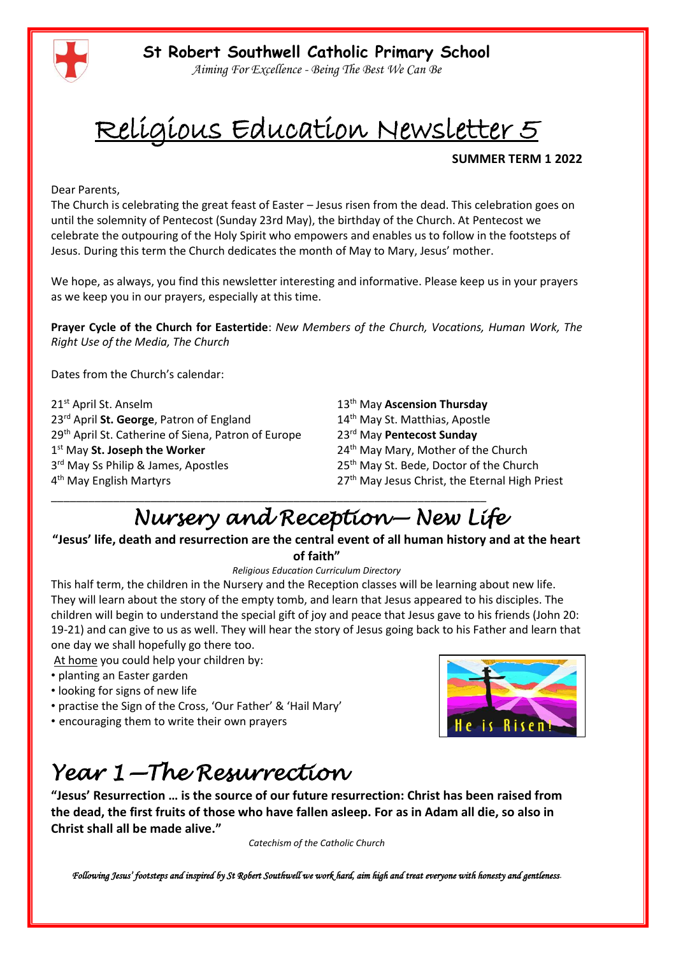

*Aiming For Excellence - Being The Best We Can Be*

# Religious Education Newsletter 5

#### **SUMMER TERM 1 2022**

Dear Parents,

The Church is celebrating the great feast of Easter – Jesus risen from the dead. This celebration goes on until the solemnity of Pentecost (Sunday 23rd May), the birthday of the Church. At Pentecost we celebrate the outpouring of the Holy Spirit who empowers and enables us to follow in the footsteps of Jesus. During this term the Church dedicates the month of May to Mary, Jesus' mother.

We hope, as always, you find this newsletter interesting and informative. Please keep us in your prayers as we keep you in our prayers, especially at this time.

**Prayer Cycle of the Church for Eastertide**: *New Members of the Church, Vocations, Human Work, The Right Use of the Media, The Church* 

Dates from the Church's calendar:

21st April St. Anselm 13th May **Ascension Thursday** 23<sup>rd</sup> April St. George, Patron of England 14<sup>th</sup> May St. Matthias, Apostle 29th April St. Catherine of Siena, Patron of Europe 23rd May **Pentecost Sunday** 1<sup>st</sup> May St. Joseph the Worker 3rd May Ss Philip & James, Apostles 4<sup>th</sup> May English Martyrs

24<sup>th</sup> May Mary, Mother of the Church 25<sup>th</sup> May St. Bede, Doctor of the Church 27<sup>th</sup> May Jesus Christ, the Eternal High Priest

### \_\_\_\_\_\_\_\_\_\_\_\_\_\_\_\_\_\_\_\_\_\_\_\_\_\_\_\_\_\_\_\_\_\_\_\_\_\_\_\_\_\_\_\_\_\_\_\_\_\_\_\_\_\_\_\_\_\_\_\_\_\_\_\_\_\_\_\_\_\_ *Nursery and Reception— New Life*

**"Jesus' life, death and resurrection are the central event of all human history and at the heart of faith"**

#### *Religious Education Curriculum Directory*

This half term, the children in the Nursery and the Reception classes will be learning about new life. They will learn about the story of the empty tomb, and learn that Jesus appeared to his disciples. The children will begin to understand the special gift of joy and peace that Jesus gave to his friends (John 20: 19-21) and can give to us as well. They will hear the story of Jesus going back to his Father and learn that one day we shall hopefully go there too.

At home you could help your children by:

- planting an Easter garden
- looking for signs of new life
- practise the Sign of the Cross, 'Our Father' & 'Hail Mary'
- encouraging them to write their own prayers

### *Year 1—The Resurrection*

**"Jesus' Resurrection … is the source of our future resurrection: Christ has been raised from the dead, the first fruits of those who have fallen asleep. For as in Adam all die, so also in Christ shall all be made alive."**

*Catechism of the Catholic Church*

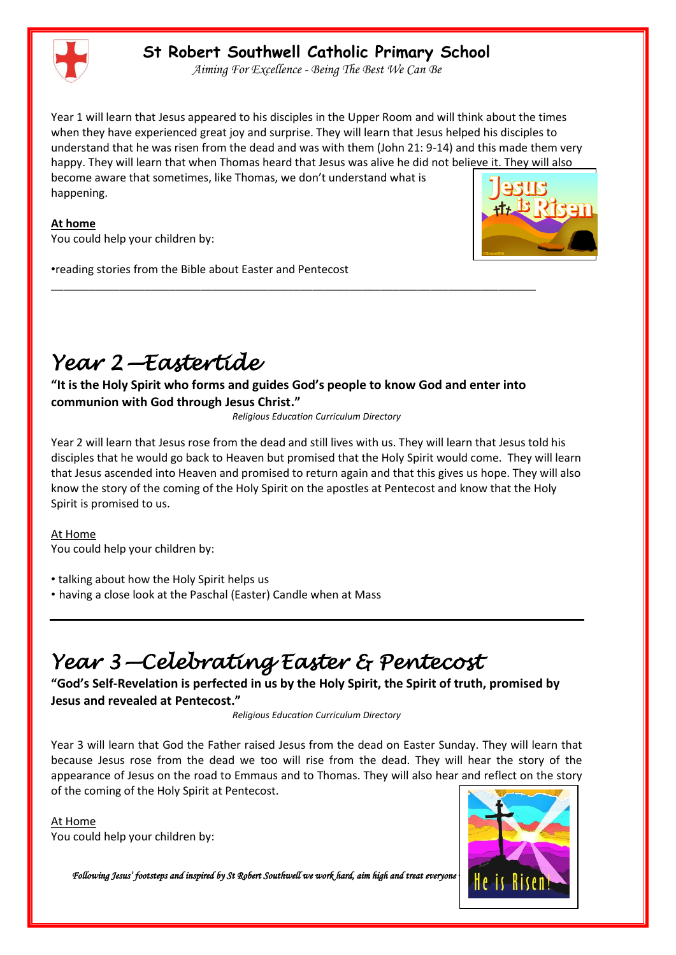

#### **St Robert Southwell Catholic Primary School**

*Aiming For Excellence - Being The Best We Can Be*

Year 1 will learn that Jesus appeared to his disciples in the Upper Room and will think about the times when they have experienced great joy and surprise. They will learn that Jesus helped his disciples to understand that he was risen from the dead and was with them (John 21: 9-14) and this made them very happy. They will learn that when Thomas heard that Jesus was alive he did not believe it. They will also become aware that sometimes, like Thomas, we don't understand what is happening.



You could help your children by:

•reading stories from the Bible about Easter and Pentecost



## *Year 2—Eastertide*

**"It is the Holy Spirit who forms and guides God's people to know God and enter into communion with God through Jesus Christ."**

\_\_\_\_\_\_\_\_\_\_\_\_\_\_\_\_\_\_\_\_\_\_\_\_\_\_\_\_\_\_\_\_\_\_\_\_\_\_\_\_\_\_\_\_\_\_\_\_\_\_\_\_\_\_\_\_\_\_\_\_\_\_\_\_\_\_\_\_\_\_\_\_\_\_\_\_\_\_

*Religious Education Curriculum Directory* 

Year 2 will learn that Jesus rose from the dead and still lives with us. They will learn that Jesus told his disciples that he would go back to Heaven but promised that the Holy Spirit would come. They will learn that Jesus ascended into Heaven and promised to return again and that this gives us hope. They will also know the story of the coming of the Holy Spirit on the apostles at Pentecost and know that the Holy Spirit is promised to us.

At Home

You could help your children by:

• talking about how the Holy Spirit helps us

• having a close look at the Paschal (Easter) Candle when at Mass

## *Year 3—Celebrating Easter & Pentecost*

**"God's Self-Revelation is perfected in us by the Holy Spirit, the Spirit of truth, promised by Jesus and revealed at Pentecost."**

*Religious Education Curriculum Directory*

Year 3 will learn that God the Father raised Jesus from the dead on Easter Sunday. They will learn that because Jesus rose from the dead we too will rise from the dead. They will hear the story of the appearance of Jesus on the road to Emmaus and to Thomas. They will also hear and reflect on the story of the coming of the Holy Spirit at Pentecost.

At Home You could help your children by:

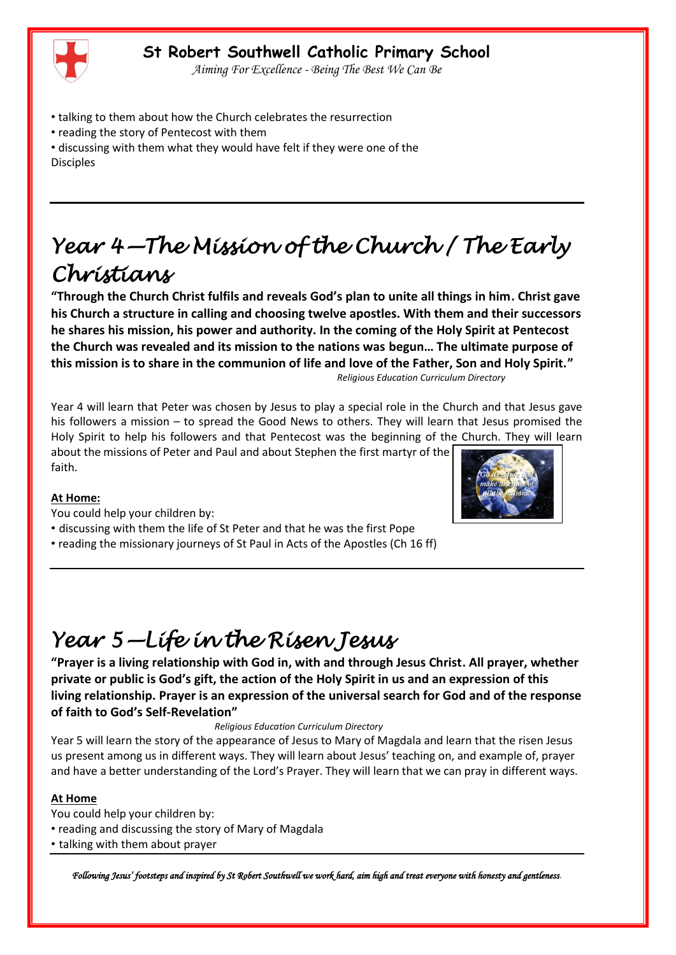#### **St Robert Southwell Catholic Primary School**

*Aiming For Excellence - Being The Best We Can Be*

- talking to them about how the Church celebrates the resurrection
- reading the story of Pentecost with them
- discussing with them what they would have felt if they were one of the Disciples

## *Year 4—The Mission of the Church / The Early Christians*

**"Through the Church Christ fulfils and reveals God's plan to unite all things in him. Christ gave his Church a structure in calling and choosing twelve apostles. With them and their successors he shares his mission, his power and authority. In the coming of the Holy Spirit at Pentecost the Church was revealed and its mission to the nations was begun… The ultimate purpose of this mission is to share in the communion of life and love of the Father, Son and Holy Spirit."** *Religious Education Curriculum Directory*

Year 4 will learn that Peter was chosen by Jesus to play a special role in the Church and that Jesus gave his followers a mission – to spread the Good News to others. They will learn that Jesus promised the Holy Spirit to help his followers and that Pentecost was the beginning of the Church. They will learn about the missions of Peter and Paul and about Stephen the first martyr of the

faith.

#### **At Home:**

- You could help your children by:
- discussing with them the life of St Peter and that he was the first Pope
- reading the missionary journeys of St Paul in Acts of the Apostles (Ch 16 ff)



## *Year 5—Life in the Risen Jesus*

**"Prayer is a living relationship with God in, with and through Jesus Christ. All prayer, whether private or public is God's gift, the action of the Holy Spirit in us and an expression of this living relationship. Prayer is an expression of the universal search for God and of the response of faith to God's Self-Revelation"**

*Religious Education Curriculum Directory*

Year 5 will learn the story of the appearance of Jesus to Mary of Magdala and learn that the risen Jesus us present among us in different ways. They will learn about Jesus' teaching on, and example of, prayer and have a better understanding of the Lord's Prayer. They will learn that we can pray in different ways.

#### **At Home**

- You could help your children by:
- reading and discussing the story of Mary of Magdala
- talking with them about prayer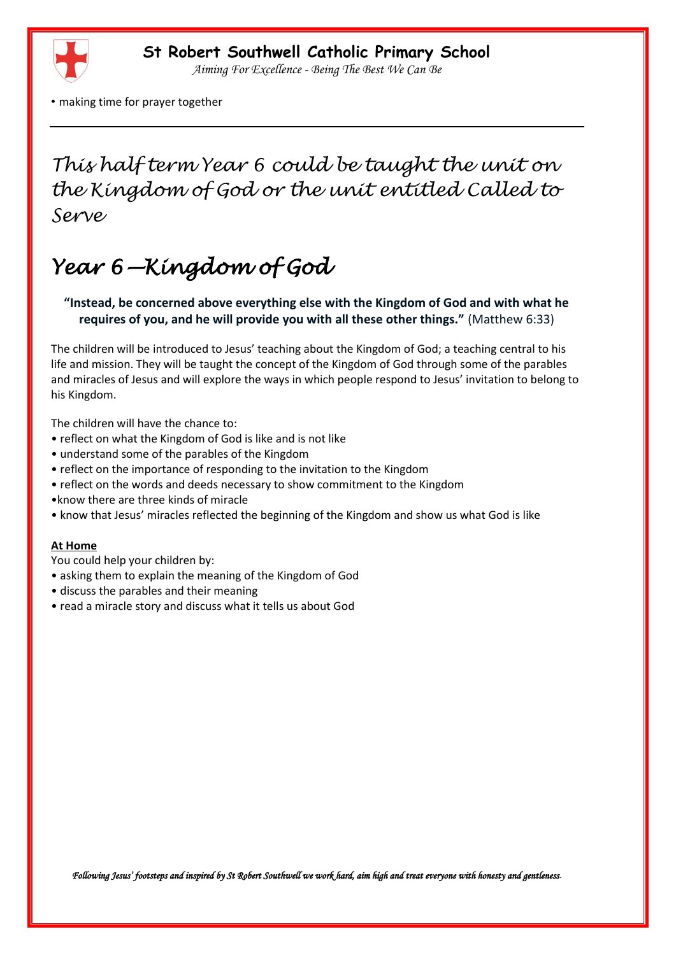

*Aiming For Excellence - Being The Best We Can Be*

• making time for prayer together

### *This half term Year 6 could be taught the unit on the Kingdom of God or the unit entitled Called to Serve*

## *Year 6—Kingdom of God*

**"Instead, be concerned above everything else with the Kingdom of God and with what he requires of you, and he will provide you with all these other things."** (Matthew 6:33)

The children will be introduced to Jesus' teaching about the Kingdom of God; a teaching central to his life and mission. They will be taught the concept of the Kingdom of God through some of the parables and miracles of Jesus and will explore the ways in which people respond to Jesus' invitation to belong to his Kingdom.

The children will have the chance to:

- reflect on what the Kingdom of God is like and is not like
- understand some of the parables of the Kingdom
- reflect on the importance of responding to the invitation to the Kingdom
- reflect on the words and deeds necessary to show commitment to the Kingdom
- •know there are three kinds of miracle
- know that Jesus' miracles reflected the beginning of the Kingdom and show us what God is like

#### **At Home**

You could help your children by:

- asking them to explain the meaning of the Kingdom of God
- discuss the parables and their meaning
- read a miracle story and discuss what it tells us about God